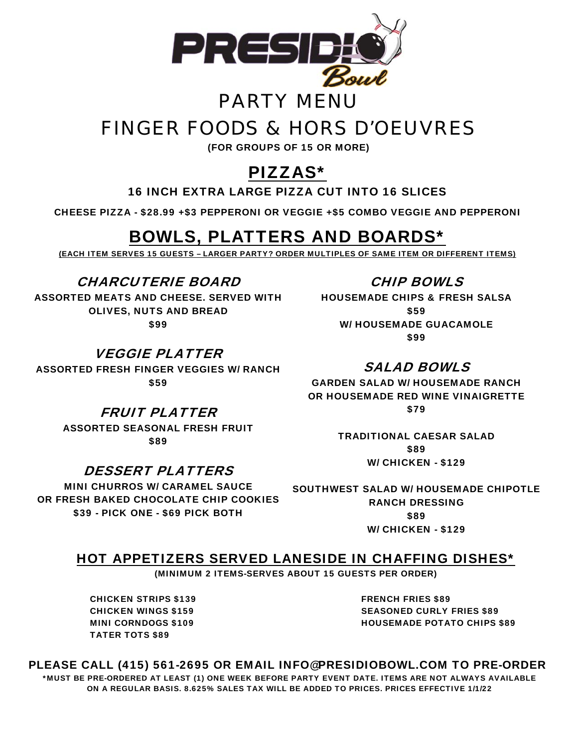

### PARTY MENU

## FINGER FOODS & HORS D'OEUVRES

(FOR GROUPS OF 15 OR MORE)

### PIZZAS\*

16 INCH EXTRA LARGE PIZZA CUT INTO 16 SLICES

CHEESE PIZZA - \$28.99 +\$3 PEPPERONI OR VEGGIE +\$5 COMBO VEGGIE AND PEPPERONI

### BOWLS, PLATTERS AND BOARDS\*

(EACH ITEM SERVES 15 GUESTS – LARGER PARTY? ORDER MULTIPLES OF SAME ITEM OR DIFFERENT ITEMS)

CHARCUTERIE BOARD ASSORTED MEATS AND CHEESE. SERVED WITH OLIVES, NUTS AND BREAD \$99

VEGGIE PLATTER ASSORTED FRESH FINGER VEGGIES W/ RANCH \$59

> FRUIT PLATTER ASSORTED SEASONAL FRESH FRUIT

\$89

### DESSERT PLATTERS

MINI CHURROS W/ CARAMEL SAUCE OR FRESH BAKED CHOCOLATE CHIP COOKIES \$39 - PICK ONE - \$69 PICK BOTH

### CHIP BOWLS

HOUSEMADE CHIPS & FRESH SALSA \$59 W/ HOUSEMADE GUACAMOLE \$99

### SALAD BOWLS

GARDEN SALAD W/ HOUSEMADE RANCH OR HOUSEMADE RED WINE VINAIGRETTE \$79

> TRADITIONAL CAESAR SALAD \$89 W/ CHICKEN - \$129

SOUTHWEST SALAD W/ HOUSEMADE CHIPOTLE RANCH DRESSING \$89 W/ CHICKEN - \$129

#### HOT APPETIZERS SERVED LANESIDE IN CHAFFING DISHES\*

(MINIMUM 2 ITEMS-SERVES ABOUT 15 GUESTS PER ORDER)

CHICKEN STRIPS \$139 CHICKEN WINGS \$159 MINI CORNDOGS \$109 TATER TOTS \$89

FRENCH FRIES \$89 SEASONED CURLY FRIES \$89 HOUSEMADE POTATO CHIPS \$89

#### PLEASE CALL (415) 561-2695 OR EMAIL INFO@PRESIDIOBOWL.COM TO PRE-ORDER \*MUST BE PRE-ORDERED AT LEAST (1) ONE WEEK BEFORE PARTY EVENT DATE. ITEMS ARE NOT ALWAYS AVAILABLE ON A REGULAR BASIS. 8.625% SALES TAX WILL BE ADDED TO PRICES. PRICES EFFECTIVE 1/1/22